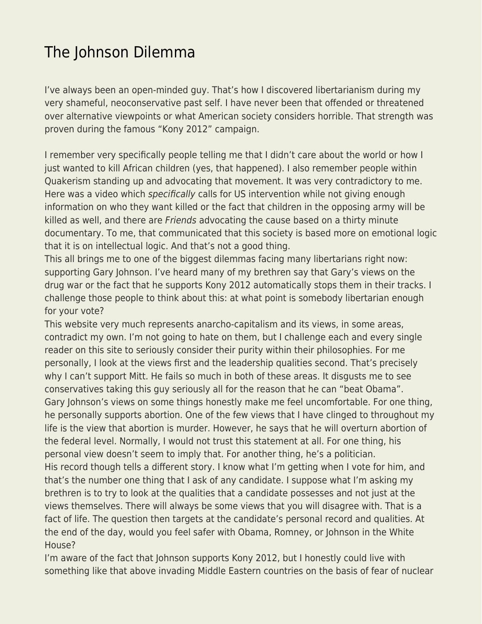## [The Johnson Dilemma](https://everything-voluntary.com/the-johnson-dilemma)

I've always been an open-minded guy. That's how I discovered libertarianism during my very shameful, neoconservative past self. I have never been that offended or threatened over alternative viewpoints or what American society considers horrible. That strength was proven during the famous "Kony 2012" campaign.

I remember very specifically people telling me that I didn't care about the world or how I just wanted to kill African children (yes, that happened). I also remember people within Quakerism standing up and advocating that movement. It was very contradictory to me. Here was a video which specifically calls for US intervention while not giving enough information on who they want killed or the fact that children in the opposing army will be killed as well, and there are Friends advocating the cause based on a thirty minute documentary. To me, that communicated that this society is based more on emotional logic that it is on intellectual logic. And that's not a good thing.

This all brings me to one of the biggest dilemmas facing many libertarians right now: supporting Gary Johnson. I've heard many of my brethren say that Gary's views on the drug war or the fact that he supports Kony 2012 automatically stops them in their tracks. I challenge those people to think about this: at what point is somebody libertarian enough for your vote?

This website very much represents anarcho-capitalism and its views, in some areas, contradict my own. I'm not going to hate on them, but I challenge each and every single reader on this site to seriously consider their purity within their philosophies. For me personally, I look at the views first and the leadership qualities second. That's precisely why I can't support Mitt. He fails so much in both of these areas. It disgusts me to see conservatives taking this guy seriously all for the reason that he can "beat Obama". Gary Johnson's views on some things honestly make me feel uncomfortable. For one thing, he personally supports abortion. One of the few views that I have clinged to throughout my life is the view that abortion is murder. However, he says that he will overturn abortion of the federal level. Normally, I would not trust this statement at all. For one thing, his personal view doesn't seem to imply that. For another thing, he's a politician. His record though tells a different story. I know what I'm getting when I vote for him, and that's the number one thing that I ask of any candidate. I suppose what I'm asking my brethren is to try to look at the qualities that a candidate possesses and not just at the views themselves. There will always be some views that you will disagree with. That is a fact of life. The question then targets at the candidate's personal record and qualities. At the end of the day, would you feel safer with Obama, Romney, or Johnson in the White House?

I'm aware of the fact that Johnson supports Kony 2012, but I honestly could live with something like that above invading Middle Eastern countries on the basis of fear of nuclear